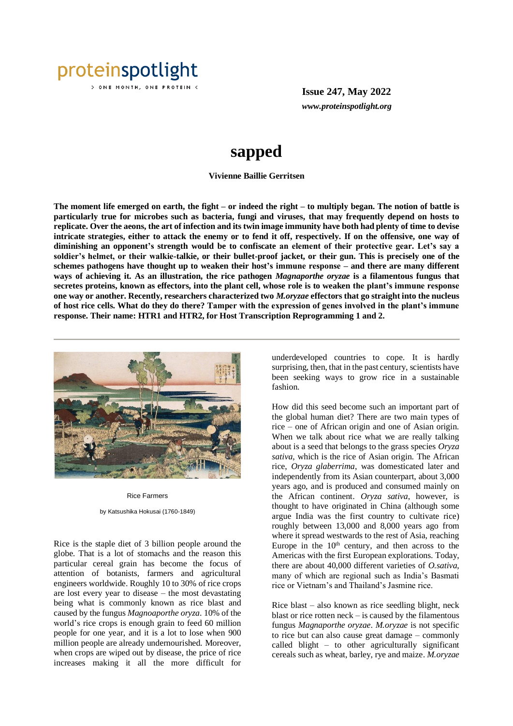

**Issue 247, May 2022** *www.proteinspotlight.org*

# **sapped**

### **Vivienne Baillie Gerritsen**

**The moment life emerged on earth, the fight – or indeed the right – to multiply began. The notion of battle is particularly true for microbes such as bacteria, fungi and viruses, that may frequently depend on hosts to replicate. Over the aeons, the art of infection and its twin image immunity have both had plenty of time to devise intricate strategies, either to attack the enemy or to fend it off, respectively. If on the offensive, one way of diminishing an opponent's strength would be to confiscate an element of their protective gear. Let's say a soldier's helmet, or their walkie-talkie, or their bullet-proof jacket, or their gun. This is precisely one of the schemes pathogens have thought up to weaken their host's immune response – and there are many different ways of achieving it. As an illustration, the rice pathogen** *Magnaporthe oryzae* **is a filamentous fungus that secretes proteins, known as effectors, into the plant cell, whose role is to weaken the plant's immune response one way or another. Recently, researchers characterized two** *M.oryzae* **effectors that go straight into the nucleus of host rice cells. What do they do there? Tamper with the expression of genes involved in the plant's immune response. Their name: HTR1 and HTR2, for Host Transcription Reprogramming 1 and 2.** 



## Rice Farmers

by Katsushika Hokusai (1760-1849)

Rice is the staple diet of 3 billion people around the globe. That is a lot of stomachs and the reason this particular cereal grain has become the focus of attention of botanists, farmers and agricultural engineers worldwide. Roughly 10 to 30% of rice crops are lost every year to disease – the most devastating being what is commonly known as rice blast and caused by the fungus *Magnoaporthe oryza*. 10% of the world's rice crops is enough grain to feed 60 million people for one year, and it is a lot to lose when 900 million people are already undernourished. Moreover, when crops are wiped out by disease, the price of rice increases making it all the more difficult for

underdeveloped countries to cope. It is hardly surprising, then, that in the past century, scientists have been seeking ways to grow rice in a sustainable fashion.

How did this seed become such an important part of the global human diet? There are two main types of rice – one of African origin and one of Asian origin. When we talk about rice what we are really talking about is a seed that belongs to the grass species *Oryza sativa*, which is the rice of Asian origin. The African rice, *Oryza glaberrima*, was domesticated later and independently from its Asian counterpart, about 3,000 years ago, and is produced and consumed mainly on the African continent. *Oryza sativa*, however, is thought to have originated in China (although some argue India was the first country to cultivate rice) roughly between 13,000 and 8,000 years ago from where it spread westwards to the rest of Asia, reaching Europe in the  $10<sup>th</sup>$  century, and then across to the Americas with the first European explorations. Today, there are about 40,000 different varieties of *O.sativa*, many of which are regional such as India's Basmati rice or Vietnam's and Thailand's Jasmine rice.

Rice blast – also known as rice seedling blight, neck blast or rice rotten  $neck - is caused by the filamentos$ fungus *Magnaporthe oryzae*. *M.oryzae* is not specific to rice but can also cause great damage – commonly called blight – to other agriculturally significant cereals such as wheat, barley, rye and maize. *M.oryzae*